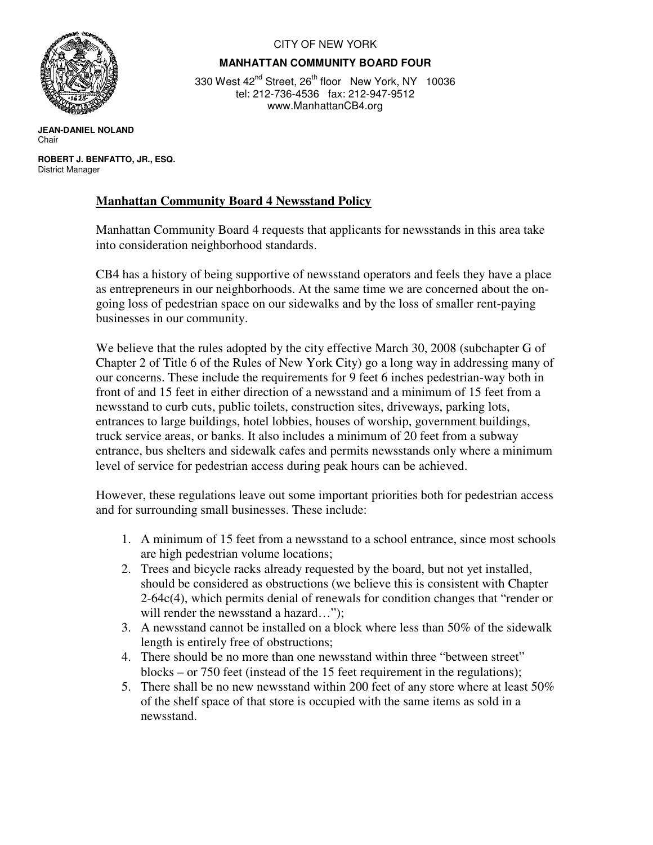

## CITY OF NEW YORK

## **MANHATTAN COMMUNITY BOARD FOUR**

330 West 42<sup>nd</sup> Street, 26<sup>th</sup> floor New York, NY 10036 tel: 212-736-4536 fax: 212-947-9512 www.ManhattanCB4.org

**JEAN-DANIEL NOLAND**  Chair

 **ROBERT J. BENFATTO, JR., ESQ.** District Manager

## **Manhattan Community Board 4 Newsstand Policy**

Manhattan Community Board 4 requests that applicants for newsstands in this area take into consideration neighborhood standards.

CB4 has a history of being supportive of newsstand operators and feels they have a place as entrepreneurs in our neighborhoods. At the same time we are concerned about the ongoing loss of pedestrian space on our sidewalks and by the loss of smaller rent-paying businesses in our community.

We believe that the rules adopted by the city effective March 30, 2008 (subchapter G of Chapter 2 of Title 6 of the Rules of New York City) go a long way in addressing many of our concerns. These include the requirements for 9 feet 6 inches pedestrian-way both in front of and 15 feet in either direction of a newsstand and a minimum of 15 feet from a newsstand to curb cuts, public toilets, construction sites, driveways, parking lots, entrances to large buildings, hotel lobbies, houses of worship, government buildings, truck service areas, or banks. It also includes a minimum of 20 feet from a subway entrance, bus shelters and sidewalk cafes and permits newsstands only where a minimum level of service for pedestrian access during peak hours can be achieved.

However, these regulations leave out some important priorities both for pedestrian access and for surrounding small businesses. These include:

- 1. A minimum of 15 feet from a newsstand to a school entrance, since most schools are high pedestrian volume locations;
- 2. Trees and bicycle racks already requested by the board, but not yet installed, should be considered as obstructions (we believe this is consistent with Chapter 2-64c(4), which permits denial of renewals for condition changes that "render or will render the newsstand a hazard...");
- 3. A newsstand cannot be installed on a block where less than 50% of the sidewalk length is entirely free of obstructions;
- 4. There should be no more than one newsstand within three "between street" blocks – or 750 feet (instead of the 15 feet requirement in the regulations);
- 5. There shall be no new newsstand within 200 feet of any store where at least 50% of the shelf space of that store is occupied with the same items as sold in a newsstand.